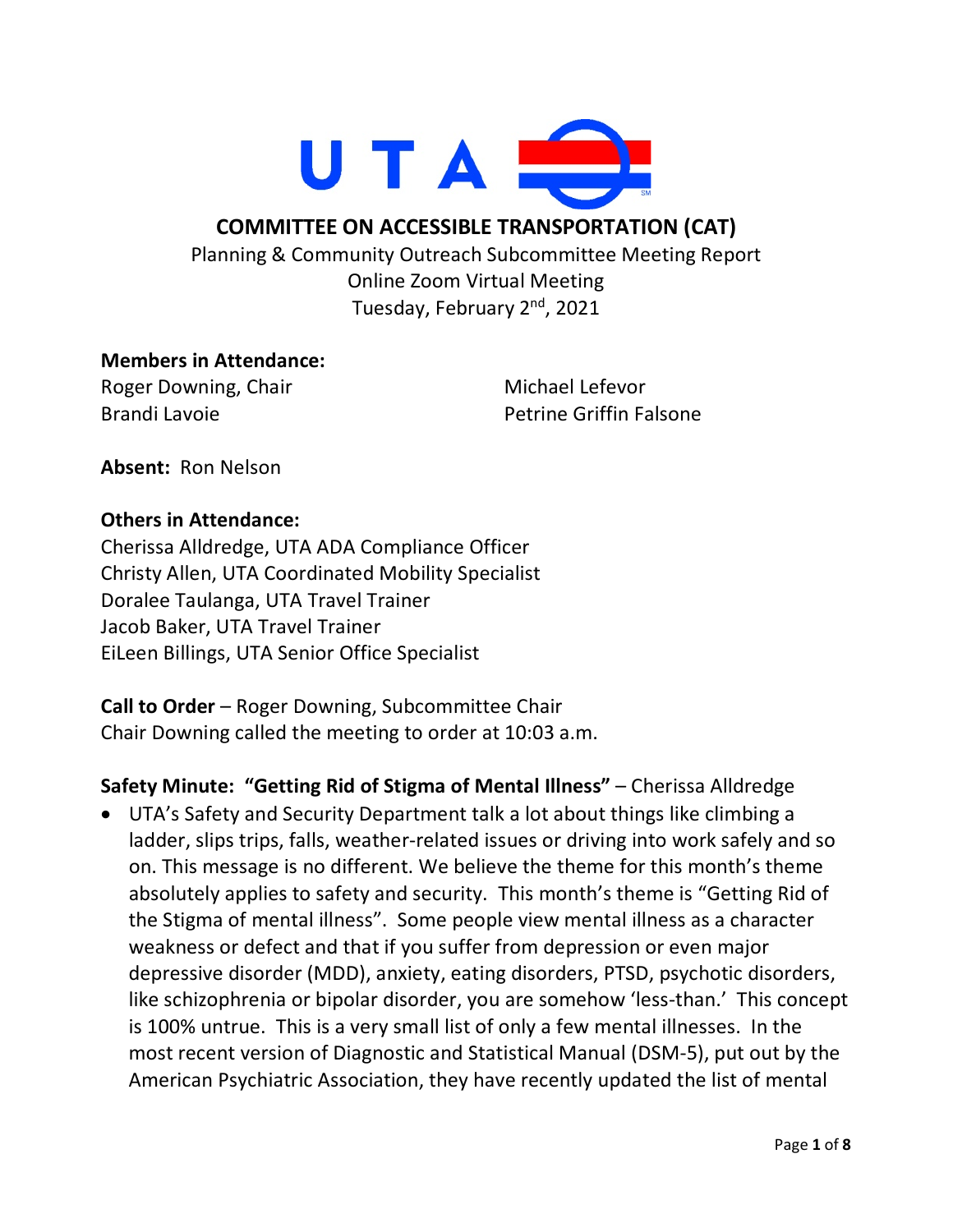

### **COMMITTEE ON ACCESSIBLE TRANSPORTATION (CAT)**

Planning & Community Outreach Subcommittee Meeting Report Online Zoom Virtual Meeting Tuesday, February 2<sup>nd</sup>, 2021

#### **Members in Attendance:**

Roger Downing, Chair Brandi Lavoie

Michael Lefevor Petrine Griffin Falsone

**Absent:** Ron Nelson

#### **Others in Attendance:**

Cherissa Alldredge, UTA ADA Compliance Officer Christy Allen, UTA Coordinated Mobility Specialist Doralee Taulanga, UTA Travel Trainer Jacob Baker, UTA Travel Trainer EiLeen Billings, UTA Senior Office Specialist

**Call to Order** – Roger Downing, Subcommittee Chair Chair Downing called the meeting to order at 10:03 a.m.

**Safety Minute: "Getting Rid of Stigma of Mental Illness"** – Cherissa Alldredge

• UTA's Safety and Security Department talk a lot about things like climbing a ladder, slips trips, falls, weather-related issues or driving into work safely and so on. This message is no different. We believe the theme for this month's theme absolutely applies to safety and security. This month's theme is "Getting Rid of the Stigma of mental illness". Some people view mental illness as a character weakness or defect and that if you suffer from depression or even major depressive disorder (MDD), anxiety, eating disorders, PTSD, psychotic disorders, like schizophrenia or bipolar disorder, you are somehow 'less-than.' This concept is 100% untrue. This is a very small list of only a few mental illnesses. In the most recent version of Diagnostic and Statistical Manual (DSM-5), put out by the American Psychiatric Association, they have recently updated the list of mental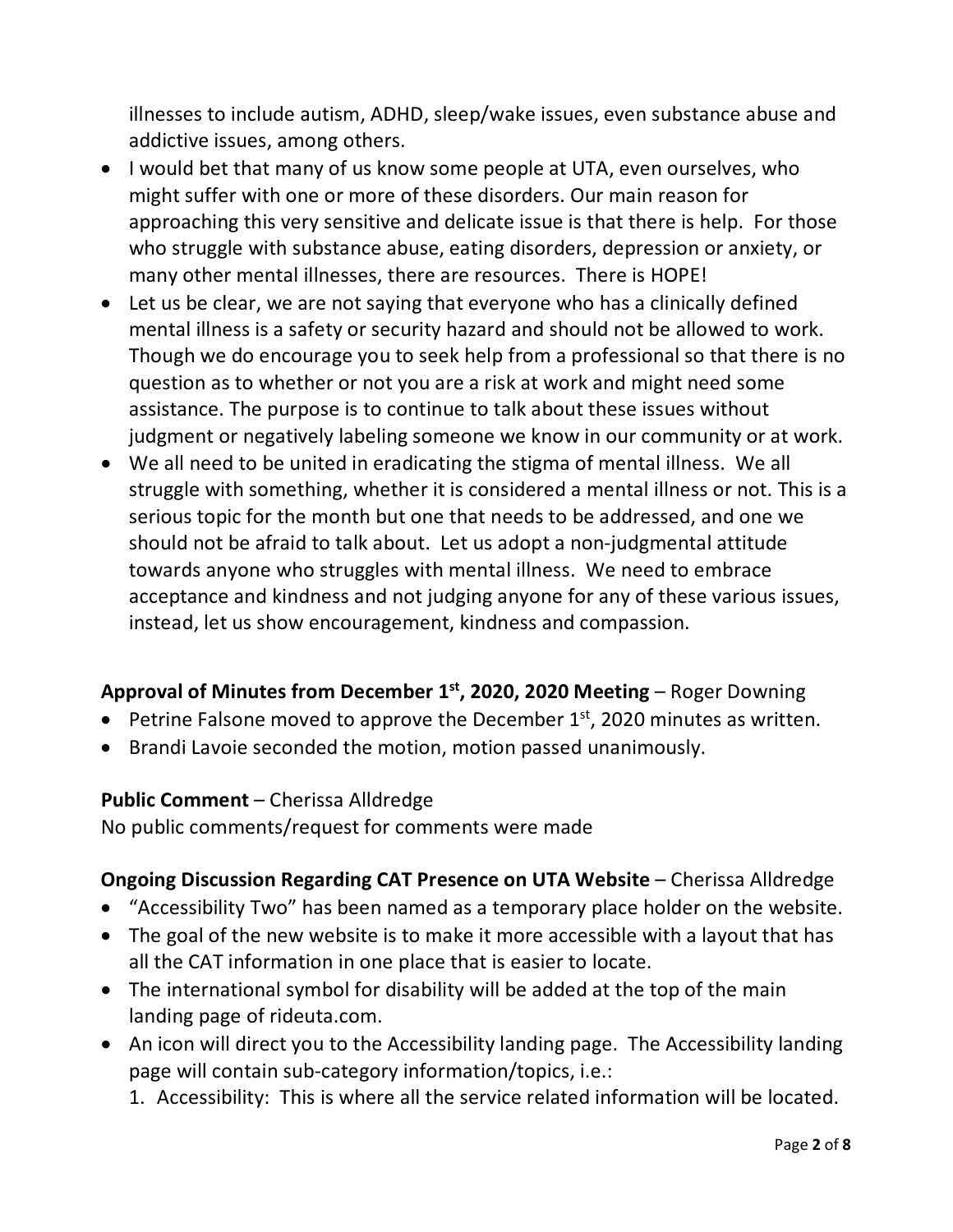illnesses to include autism, ADHD, sleep/wake issues, even substance abuse and addictive issues, among others.

- I would bet that many of us know some people at UTA, even ourselves, who might suffer with one or more of these disorders. Our main reason for approaching this very sensitive and delicate issue is that there is help. For those who struggle with substance abuse, eating disorders, depression or anxiety, or many other mental illnesses, there are resources. There is HOPE!
- Let us be clear, we are not saying that everyone who has a clinically defined mental illness is a safety or security hazard and should not be allowed to work. Though we do encourage you to seek help from a professional so that there is no question as to whether or not you are a risk at work and might need some assistance. The purpose is to continue to talk about these issues without judgment or negatively labeling someone we know in our community or at work.
- We all need to be united in eradicating the stigma of mental illness. We all struggle with something, whether it is considered a mental illness or not. This is a serious topic for the month but one that needs to be addressed, and one we should not be afraid to talk about. Let us adopt a non-judgmental attitude towards anyone who struggles with mental illness. We need to embrace acceptance and kindness and not judging anyone for any of these various issues, instead, let us show encouragement, kindness and compassion.

## **Approval of Minutes from December 1st, 2020, 2020 Meeting** – Roger Downing

- Petrine Falsone moved to approve the December  $1<sup>st</sup>$ , 2020 minutes as written.
- Brandi Lavoie seconded the motion, motion passed unanimously.

#### **Public Comment** – Cherissa Alldredge

No public comments/request for comments were made

## **Ongoing Discussion Regarding CAT Presence on UTA Website** – Cherissa Alldredge

- "Accessibility Two" has been named as a temporary place holder on the website.
- The goal of the new website is to make it more accessible with a layout that has all the CAT information in one place that is easier to locate.
- The international symbol for disability will be added at the top of the main landing page of rideuta.com.
- An icon will direct you to the Accessibility landing page. The Accessibility landing page will contain sub-category information/topics, i.e.:
	- 1. Accessibility: This is where all the service related information will be located.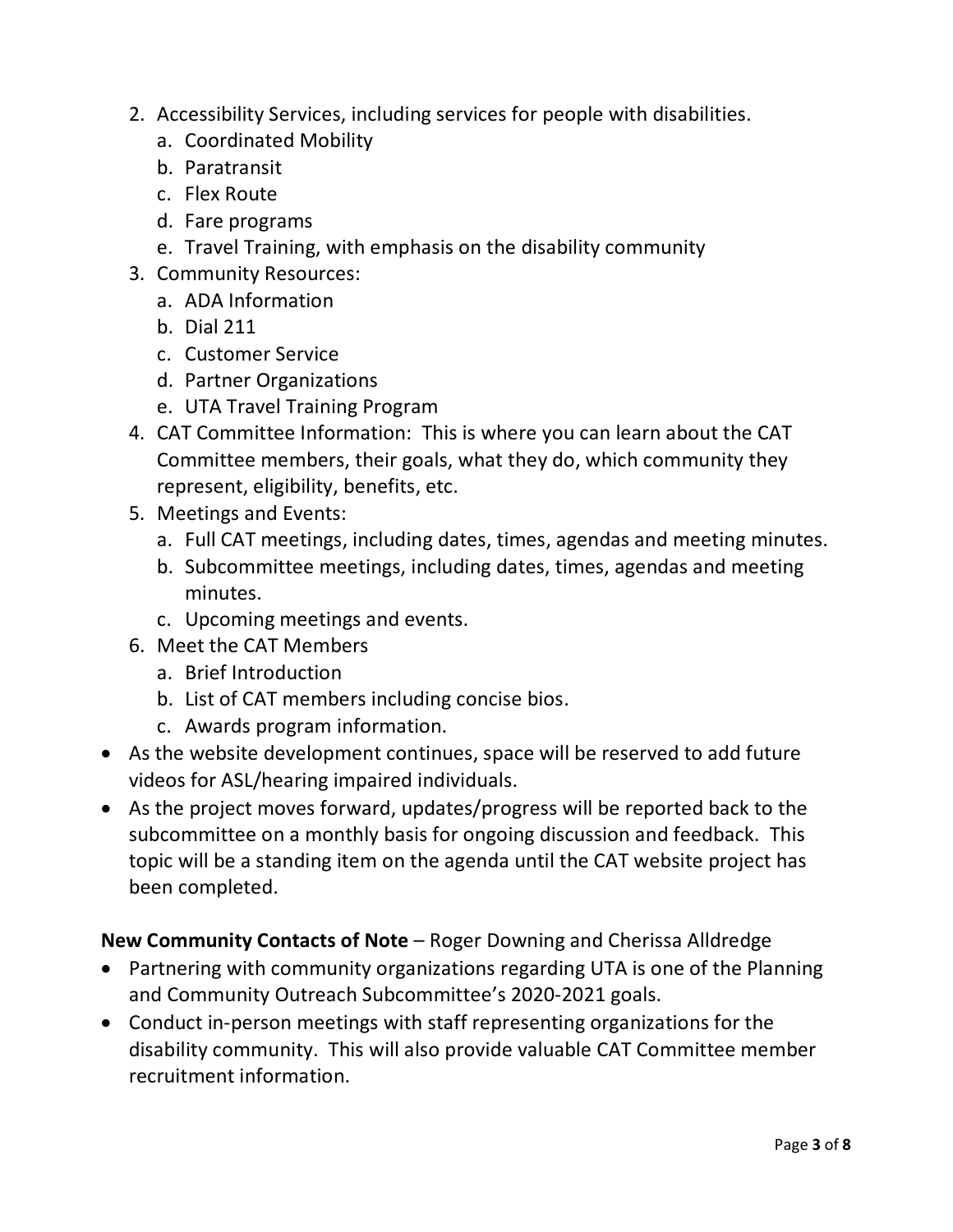- 2. Accessibility Services, including services for people with disabilities.
	- a. Coordinated Mobility
	- b. Paratransit
	- c. Flex Route
	- d. Fare programs
	- e. Travel Training, with emphasis on the disability community
- 3. Community Resources:
	- a. ADA Information
	- b. Dial 211
	- c. Customer Service
	- d. Partner Organizations
	- e. UTA Travel Training Program
- 4. CAT Committee Information: This is where you can learn about the CAT Committee members, their goals, what they do, which community they represent, eligibility, benefits, etc.
- 5. Meetings and Events:
	- a. Full CAT meetings, including dates, times, agendas and meeting minutes.
	- b. Subcommittee meetings, including dates, times, agendas and meeting minutes.
	- c. Upcoming meetings and events.
- 6. Meet the CAT Members
	- a. Brief Introduction
	- b. List of CAT members including concise bios.
	- c. Awards program information.
- As the website development continues, space will be reserved to add future videos for ASL/hearing impaired individuals.
- As the project moves forward, updates/progress will be reported back to the subcommittee on a monthly basis for ongoing discussion and feedback. This topic will be a standing item on the agenda until the CAT website project has been completed.

## **New Community Contacts of Note** – Roger Downing and Cherissa Alldredge

- Partnering with community organizations regarding UTA is one of the Planning and Community Outreach Subcommittee's 2020-2021 goals.
- Conduct in-person meetings with staff representing organizations for the disability community. This will also provide valuable CAT Committee member recruitment information.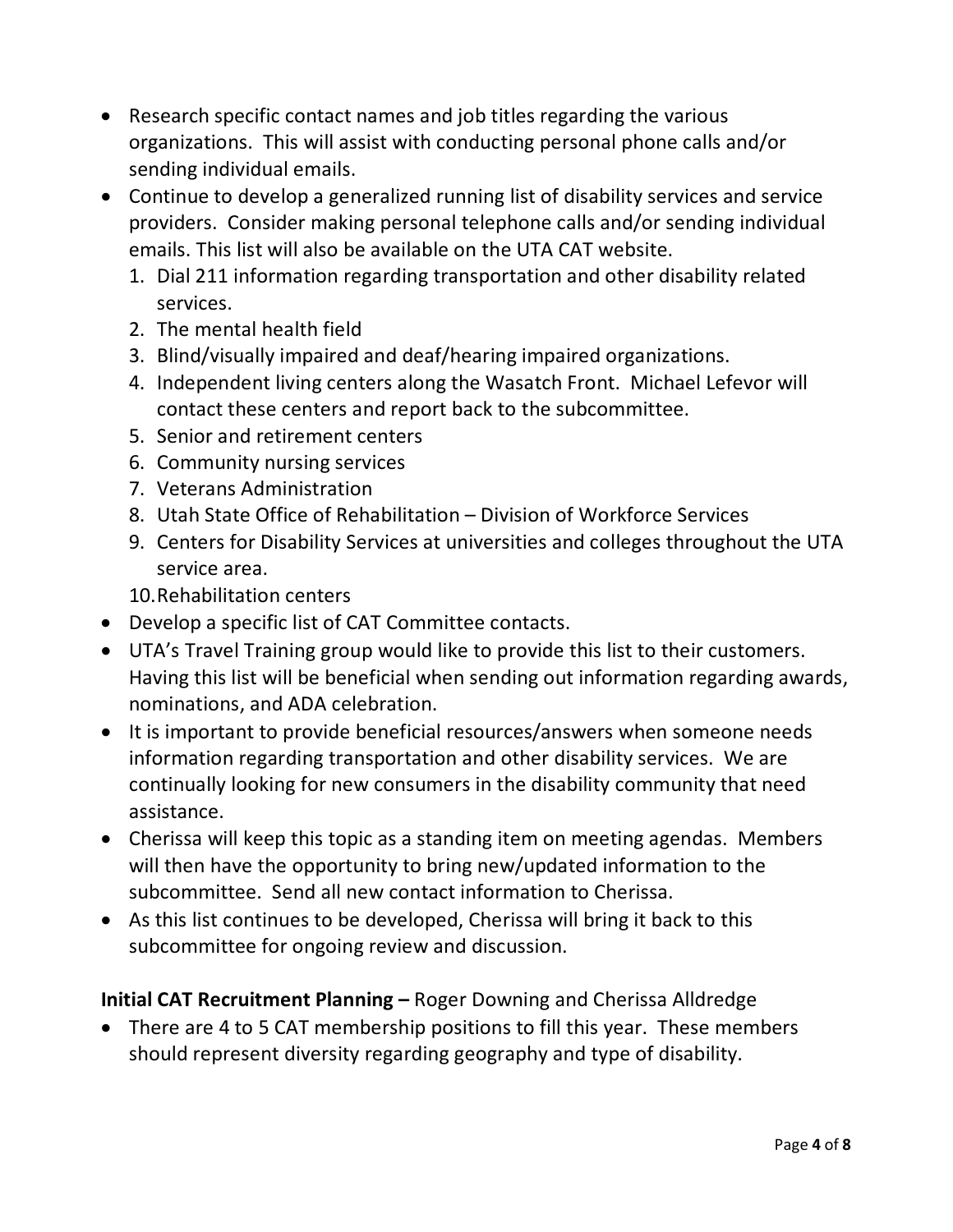- Research specific contact names and job titles regarding the various organizations. This will assist with conducting personal phone calls and/or sending individual emails.
- Continue to develop a generalized running list of disability services and service providers. Consider making personal telephone calls and/or sending individual emails. This list will also be available on the UTA CAT website.
	- 1. Dial 211 information regarding transportation and other disability related services.
	- 2. The mental health field
	- 3. Blind/visually impaired and deaf/hearing impaired organizations.
	- 4. Independent living centers along the Wasatch Front. Michael Lefevor will contact these centers and report back to the subcommittee.
	- 5. Senior and retirement centers
	- 6. Community nursing services
	- 7. Veterans Administration
	- 8. Utah State Office of Rehabilitation Division of Workforce Services
	- 9. Centers for Disability Services at universities and colleges throughout the UTA service area.

10.Rehabilitation centers

- Develop a specific list of CAT Committee contacts.
- UTA's Travel Training group would like to provide this list to their customers. Having this list will be beneficial when sending out information regarding awards, nominations, and ADA celebration.
- It is important to provide beneficial resources/answers when someone needs information regarding transportation and other disability services. We are continually looking for new consumers in the disability community that need assistance.
- Cherissa will keep this topic as a standing item on meeting agendas. Members will then have the opportunity to bring new/updated information to the subcommittee. Send all new contact information to Cherissa.
- As this list continues to be developed, Cherissa will bring it back to this subcommittee for ongoing review and discussion.

## **Initial CAT Recruitment Planning –** Roger Downing and Cherissa Alldredge

• There are 4 to 5 CAT membership positions to fill this year. These members should represent diversity regarding geography and type of disability.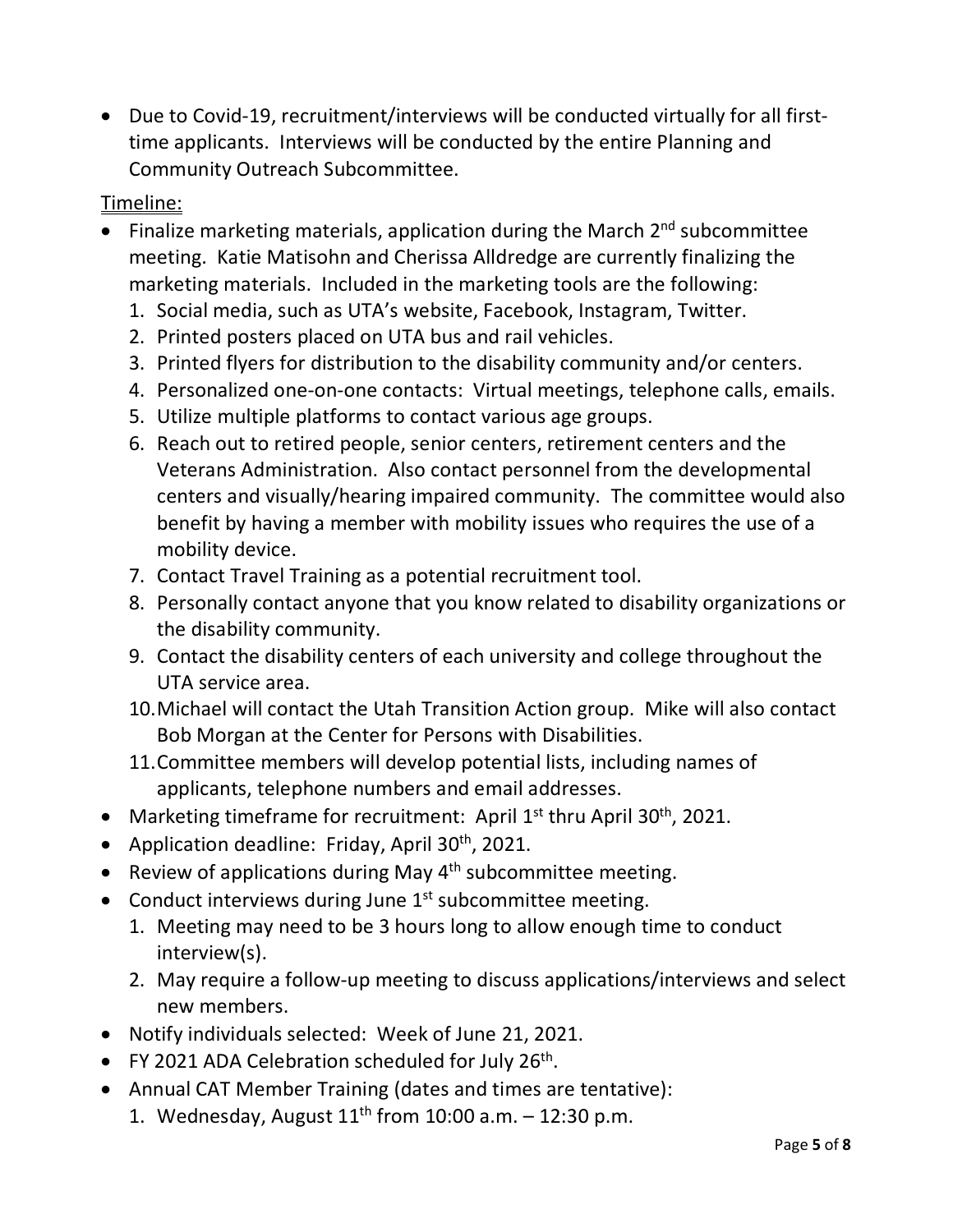• Due to Covid-19, recruitment/interviews will be conducted virtually for all firsttime applicants. Interviews will be conducted by the entire Planning and Community Outreach Subcommittee.

# Timeline:

- Finalize marketing materials, application during the March  $2<sup>nd</sup>$  subcommittee meeting. Katie Matisohn and Cherissa Alldredge are currently finalizing the marketing materials. Included in the marketing tools are the following:
	- 1. Social media, such as UTA's website, Facebook, Instagram, Twitter.
	- 2. Printed posters placed on UTA bus and rail vehicles.
	- 3. Printed flyers for distribution to the disability community and/or centers.
	- 4. Personalized one-on-one contacts: Virtual meetings, telephone calls, emails.
	- 5. Utilize multiple platforms to contact various age groups.
	- 6. Reach out to retired people, senior centers, retirement centers and the Veterans Administration. Also contact personnel from the developmental centers and visually/hearing impaired community. The committee would also benefit by having a member with mobility issues who requires the use of a mobility device.
	- 7. Contact Travel Training as a potential recruitment tool.
	- 8. Personally contact anyone that you know related to disability organizations or the disability community.
	- 9. Contact the disability centers of each university and college throughout the UTA service area.
	- 10.Michael will contact the Utah Transition Action group. Mike will also contact Bob Morgan at the Center for Persons with Disabilities.
	- 11.Committee members will develop potential lists, including names of applicants, telephone numbers and email addresses.
- Marketing timeframe for recruitment: April 1<sup>st</sup> thru April 30<sup>th</sup>, 2021.
- Application deadline: Friday, April  $30<sup>th</sup>$ , 2021.
- Review of applications during May  $4<sup>th</sup>$  subcommittee meeting.
- Conduct interviews during June  $1<sup>st</sup>$  subcommittee meeting.
	- 1. Meeting may need to be 3 hours long to allow enough time to conduct interview(s).
	- 2. May require a follow-up meeting to discuss applications/interviews and select new members.
- Notify individuals selected: Week of June 21, 2021.
- FY 2021 ADA Celebration scheduled for July  $26<sup>th</sup>$ .
- Annual CAT Member Training (dates and times are tentative):
	- 1. Wednesday, August  $11^{th}$  from 10:00 a.m. 12:30 p.m.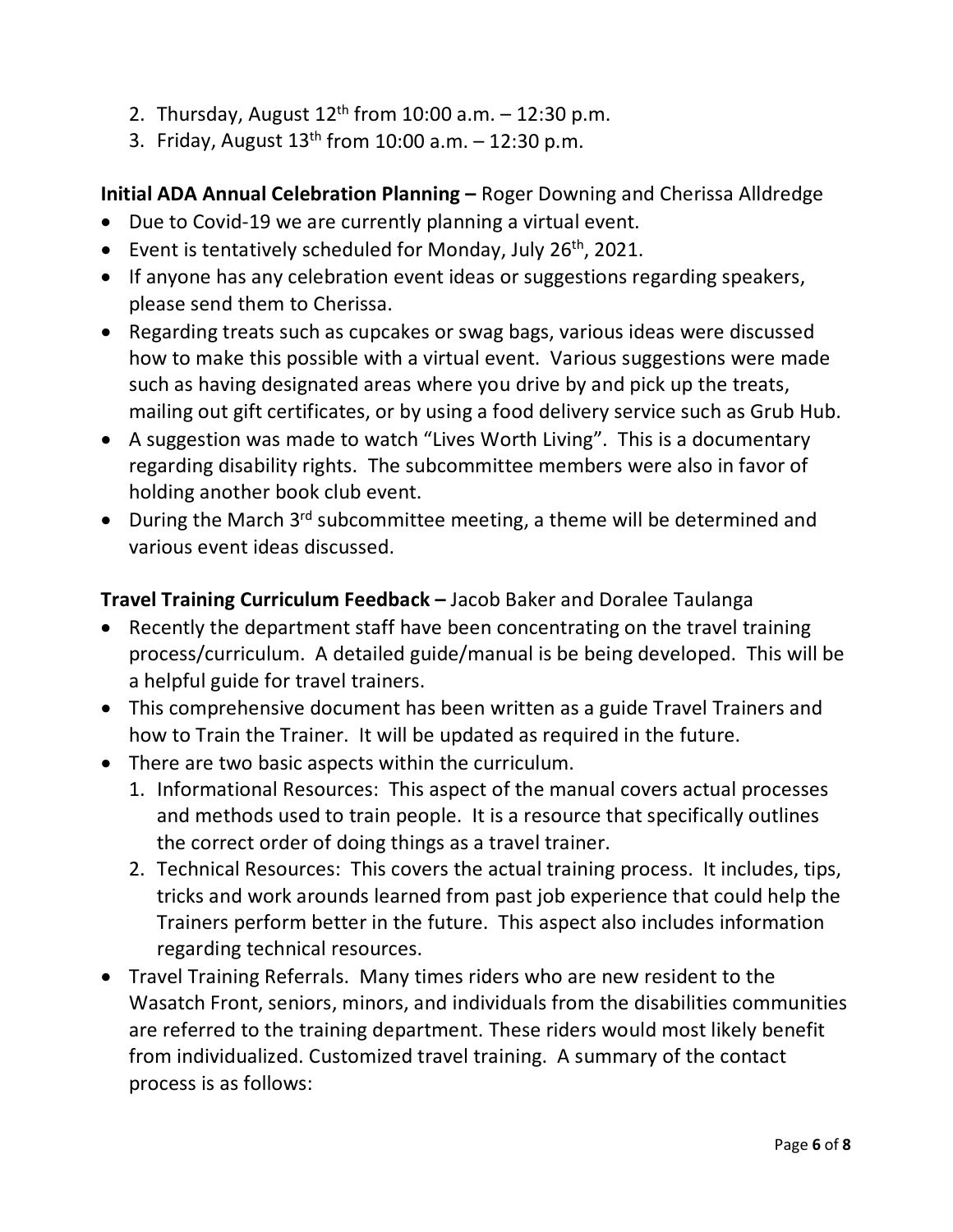- 2. Thursday, August  $12^{th}$  from  $10:00$  a.m.  $-12:30$  p.m.
- 3. Friday, August  $13^{th}$  from 10:00 a.m.  $-12:30$  p.m.

### **Initial ADA Annual Celebration Planning –** Roger Downing and Cherissa Alldredge

- Due to Covid-19 we are currently planning a virtual event.
- Event is tentatively scheduled for Monday, July  $26<sup>th</sup>$ , 2021.
- If anyone has any celebration event ideas or suggestions regarding speakers, please send them to Cherissa.
- Regarding treats such as cupcakes or swag bags, various ideas were discussed how to make this possible with a virtual event. Various suggestions were made such as having designated areas where you drive by and pick up the treats, mailing out gift certificates, or by using a food delivery service such as Grub Hub.
- A suggestion was made to watch "Lives Worth Living". This is a documentary regarding disability rights. The subcommittee members were also in favor of holding another book club event.
- During the March 3<sup>rd</sup> subcommittee meeting, a theme will be determined and various event ideas discussed.

## **Travel Training Curriculum Feedback –** Jacob Baker and Doralee Taulanga

- Recently the department staff have been concentrating on the travel training process/curriculum. A detailed guide/manual is be being developed. This will be a helpful guide for travel trainers.
- This comprehensive document has been written as a guide Travel Trainers and how to Train the Trainer. It will be updated as required in the future.
- There are two basic aspects within the curriculum.
	- 1. Informational Resources: This aspect of the manual covers actual processes and methods used to train people. It is a resource that specifically outlines the correct order of doing things as a travel trainer.
	- 2. Technical Resources: This covers the actual training process. It includes, tips, tricks and work arounds learned from past job experience that could help the Trainers perform better in the future. This aspect also includes information regarding technical resources.
- Travel Training Referrals. Many times riders who are new resident to the Wasatch Front, seniors, minors, and individuals from the disabilities communities are referred to the training department. These riders would most likely benefit from individualized. Customized travel training. A summary of the contact process is as follows: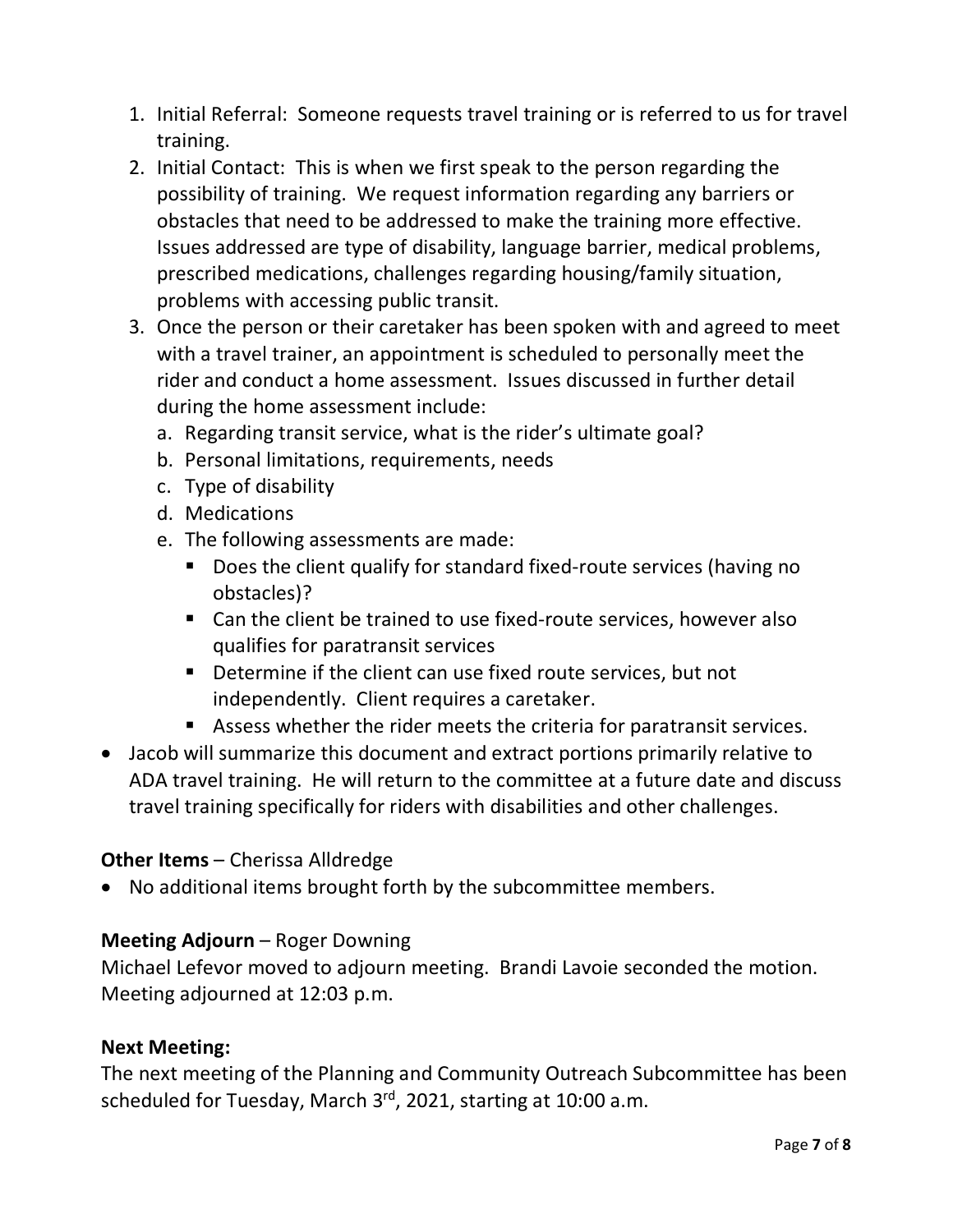- 1. Initial Referral: Someone requests travel training or is referred to us for travel training.
- 2. Initial Contact: This is when we first speak to the person regarding the possibility of training. We request information regarding any barriers or obstacles that need to be addressed to make the training more effective. Issues addressed are type of disability, language barrier, medical problems, prescribed medications, challenges regarding housing/family situation, problems with accessing public transit.
- 3. Once the person or their caretaker has been spoken with and agreed to meet with a travel trainer, an appointment is scheduled to personally meet the rider and conduct a home assessment. Issues discussed in further detail during the home assessment include:
	- a. Regarding transit service, what is the rider's ultimate goal?
	- b. Personal limitations, requirements, needs
	- c. Type of disability
	- d. Medications
	- e. The following assessments are made:
		- Does the client qualify for standard fixed-route services (having no obstacles)?
		- Can the client be trained to use fixed-route services, however also qualifies for paratransit services
		- **Determine if the client can use fixed route services, but not** independently. Client requires a caretaker.
		- Assess whether the rider meets the criteria for paratransit services.
- Jacob will summarize this document and extract portions primarily relative to ADA travel training. He will return to the committee at a future date and discuss travel training specifically for riders with disabilities and other challenges.

#### **Other Items** – Cherissa Alldredge

• No additional items brought forth by the subcommittee members.

#### **Meeting Adjourn** – Roger Downing

Michael Lefevor moved to adjourn meeting. Brandi Lavoie seconded the motion. Meeting adjourned at 12:03 p.m.

#### **Next Meeting:**

The next meeting of the Planning and Community Outreach Subcommittee has been scheduled for Tuesday, March 3rd, 2021, starting at 10:00 a.m.